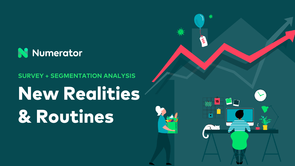

## **SURVEY + SEGMENTATION ANALYSIS**

# New Realities & Routines

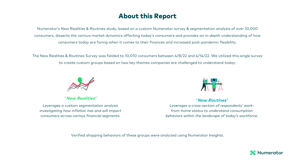## About this Report

Numerator's New Realities & Routines study, based on a custom Numerator survey & segmentation analysis of over 10,000 consumers, dissects the various market dynamics affecting today's consumers and provides an in-depth understanding of how consumers today are faring when it comes to their finances and increased post-pandemic flexibility.

The New Realities & Routines Survey was fielded to 10,010 consumers between 4/8/22 and 4/14/22. We utilized this single survey to create custom groups based on two key themes companies are challenged to understand today:



*"***New Realities***"* 

*Leverages a custom segmentation analysis investigating how inflation has and will impact consumers across various financial segments.*



*"***New Routines***"* 

*Leverages a cross-section of respondents' workfrom-home status to understand consumption behaviors within the landscape of today's workforce.*

Verified shopping behaviors of these groups were analyzed using Numerator Insights.

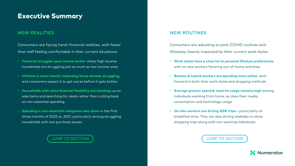### Executive Summary

#### NEW REALITIES NEW ROUTINES AND ALL CONTINUES IN THE REAL CONTINUES.

Consumers are facing harsh financial realities, with fewer than half feeling comfortable in their current situations.

- **Financial strug[gles span income levels](#page-3-0)** many high income households are struggling just as much as low income ones.
- **Inflation is more heavily impacting those already struggling**, and consumers expect it to get worse before it gets better.
- **Households with more financial flexibility are stocking-up** on sale items and searching for deals rather than cutting back on non-essential spending.
- **Spending in non-essential categories was down** in the first three months of 2022 vs. 2021, particularly among struggling households with low purchase power.

**JUMP TO SECTION** 

Consumer lifestyles, l

- **Work sty** with on-
- **Remote** forward
- **Average** individud consump
- On-site \ breakfas shopping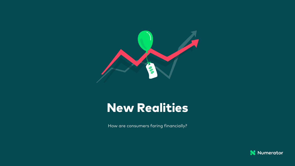<span id="page-3-0"></span>

## New Realities

How are consumers faring financially?

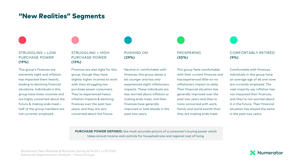### "New Realities" Segments

#### STRUGGLING + LOW PURCHASE POWER **(19%)**

This group's finances are extremely tight and inflation has impacted them heavily, leading to declining financial situations. Individuals in this group have lower incomes and are highly concerned about the future & making ends meet half of the group members are not currently employed.

STRUGGLING + HIGH PURCHASE POWER **(13%)**

Finances are also tight for this group, though they have slightly higher incomes to work with than struggling low purchase power consumers. They've experienced heavy inflation impacts & declining finances over the past two years, and they are very concerned about the future.

PUSHING ON **(29%)**

Neutral or comfortable with finances, this group skews a bit younger and has only experienced slight inflationary impacts. These individuals are less worried about inflation or making ends meet, and their finances have generally improved or held steady in the past two years.

PROSPERING **(30%)**

This group feels comfortable with their current finances and has experienced little-to-no inflationary impact to-date. Their financial situation has generally improved over the past two years and they're more concerned with work, family and world events than they are making ends meet.

COMFORTABLY RETIRED **(9%)**

Comfortable with finances, individuals in this group have an average age of 66 and none are currently employed. The vast majority say inflation has not impacted their finances, and they're not worried about it in the future. Their financial situation has stayed the same in the past two years.

**PURCHASE POWER DEFINED:** the most accurate picture of a consumer's buying power which takes annual income and controls for household size and regional cost of living.

Numerator New Realities & Routines Survey 4/14/22 ( n=10,010) Advanced Segmentation Analysis – Focus Groups

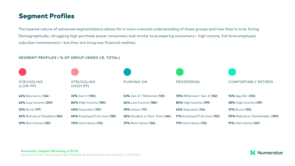## Segment Profiles

The layered nature of advanced segmentations allows for a more nuanced understanding of these groups and how they're truly faring. Demographically, struggling high purchase power consumers look similar to prospering consumers— high income, full-time employed, suburban homeowners— but they are living two financial realities.

#### SEGMENT PROFILES | % OF GROUP (INDEX VS. TOTAL)



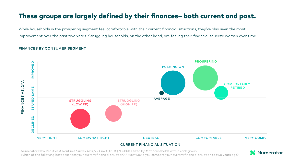## These groups are largely defined by their finances– both current and past.

While households in the prospering segment feel comfortable with their current financial situations, they've also seen the most improvement over the past two years. Struggling households, on the other hand, are feeling their financial squeeze worsen over time.

#### FINANCES BY CONSUMER SEGMENT



#### CURRENT FINANCIAL SITUATION

Numerator New Realities & Routines Survey 4/14/22 ( n=10,010) | \*Bubbles sized by # of households within each group Which of the following best describes your current financial situation? / How would you compare your current financial situation to two years ago?

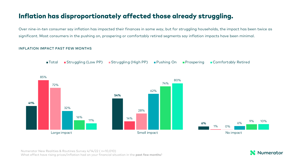## Inflation has disproportionately affected those already struggling.

Over nine-in-ten consumer say inflation has impacted their finances in some way, but for struggling households, the impact has been twice as significant. Most consumers in the pushing on, prospering or comfortably retired segments say inflation impacts have been minimal.

#### INFLATION IMPACT PAST FEW MONTHS



Numerator New Realities & Routines Survey 4/14/22 ( n=10,010) What effect have rising prices/inflation had on your financial situation in the **past few months**?

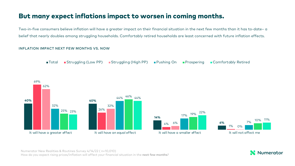## But many expect inflations impact to worsen in coming months.

Two-in-five consumers believe inflation will have a greater impact on their financial situation in the next few months than it has to-date– a belief that nearly doubles among struggling households. Comfortably retired households are least concerned with future inflation effects.

#### INFLATION IMPACT NEXT FEW MONTHS VS. NOW



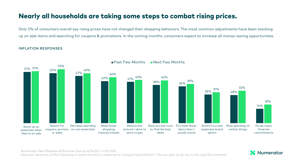## Nearly all households are taking some steps to combat rising prices.

Only 5% of consumers overall say rising prices have not changed their shopping behaviors. The most common adjustments have been stocking up on sale items and searching for coupons & promotions. In the coming months, consumers expect to increase all money-saving opportunities.

#### INFLATION RESPONSES



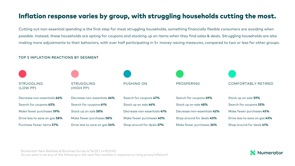## Inflation response varies by group, with struggling households cutting the most.

Cutting out non-essential spending is the first step for most struggling households, something financially flexible consumers are avoiding when possible. Instead, these households are opting for coupons and stocking up on items when they find sales & deals. Struggling households are also making more adjustments to their behaviors, with over half participating in 5+ money-saving measures, compared to two or less for other groups.

#### TOP 5 INFLATION REACTIONS BY SEGMENT



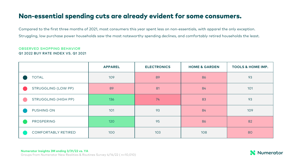## Non-essential spending cuts are already evident for some consumers.

Compared to the first three months of 2021, most consumers this year spent less on non-essentials, with apparel the only exception. Struggling, low purchase power households saw the most noteworthy spending declines, and comfortably retired households the least.

#### OBSERVED SHOPPING BEHAVIOR Q1 2022 BUY RATE INDEX VS. Q1 2021

|                             | <b>APPAREL</b> | <b>ELECTRONICS</b> | <b>HOME &amp; GARDEN</b> | <b>TOOLS &amp; HOME IMP.</b> |
|-----------------------------|----------------|--------------------|--------------------------|------------------------------|
| <b>TOTAL</b>                | 109            | 89                 | 86                       | 93                           |
| STRUGGLING (LOW PP)         | 89             | 81                 | 84                       | 101                          |
| <b>STRUGGLING (HIGH PP)</b> | 136            | 74                 | 83                       | 93                           |
| PUSHING ON                  | 101            | 93                 | 84                       | 109                          |
| <b>PROSPERING</b>           | 120            | 95                 | 86                       | 82                           |
| <b>COMFORTABLY RETIRED</b>  | 100            | 103                | 108                      | 80                           |

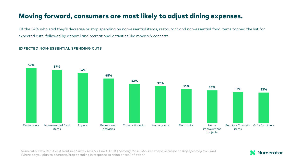## Moving forward, consumers are most likely to adjust dining expenses.

Of the 54% who said they'll decrease or stop spending on non-essential items, restaurant and non-essential food items topped the list for expected cuts, followed by apparel and recreational activities like movies & concerts.

#### EXPECTED NON-ESSENTIAL SPENDING CUTS



Numerator New Realities & Routines Survey 4/14/22 ( n=10,010) | \**Among those who said they'd decrease or stop spending (n=5,414)* Where do you plan to decrease/stop spending in response to rising prices/inflation?

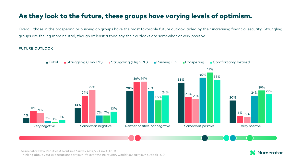## As they look to the future, these groups have varying levels of optimism.

Overall, those in the prospering or pushing on groups have the most favorable future outlook, aided by their increasing financial security. Struggling groups are feeling more neutral, though at least a third say their outlooks are somewhat or very positive.

#### FUTURE OUTLOOK



Numerator New Realities & Routines Survey 4/14/22 ( n=10,010) Thinking about your expectations for your life over the next year, would you say your outlook is…?

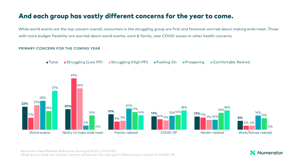## And each group has vastly different concerns for the year to come.

While world events are the top concern overall, consumers in the struggling group are first and foremost worried about making ends meet. Those with more budget flexibility are worried about world events, work & family, new COVID waves or other health concerns.

#### PRIMARY CONCERN FOR THE COMING YEAR



Numerator New Realities & Routines Survey 4/14/22 ( n=10,010) What do you think your *primary* concern will be over the next year? (\*New wave or variant of COVID-19)

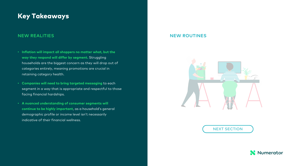## <span id="page-15-0"></span>Key Takeaways

#### NEW REALITIES

- **Inflation will impact all shoppers no matter what, but the way they respond will differ by segment.** Struggling households are the biggest concern as they will drop out of categories entirely, meaning promotions are crucial in retaining category health.
- **Companies will need to bring targeted messaging** to each segment in a way that is appropriate and respectful to those facing financial hardships.
- **A nuanced understanding of consumer segments will continue to be highly important**, as a household's general demographic profile or income level isn't necessarily indicative of their financial wellness.

#### **NEW RC**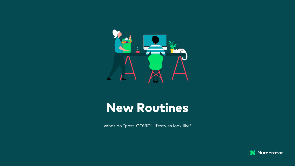

## New Routines

What do "post-COVID" lifestyles look like?

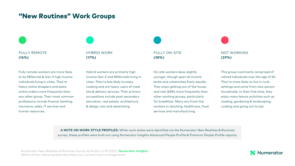## "New Routines" Work Groups

FULLY REMOTE **(16%)**

Fully remote workers are more likely to be Millennial & Gen X high income individuals living in cities. They're heavy online shoppers and place online orders more frequently than any other group. Their most common professions include finance, banking, insurance, sales, IT services and human resources.

HYBRID WORK **(17%)**

Hybrid workers are primarily high income Gen Z and Millennials living in cities. They're less likely to enjoy cooking and are heavy users of meal kits & delivery services. Their primary occupations include post-secondary education, real estate, architecture & design, law and advertising.

FULLY ON-SITE **(38%)**

On-site workers skew slightly younger, though span all income levels and urbanicities fairly equally. They enjoy getting out of the house and visit QSRs more frequently than other working groups, particularly for breakfast. Many are front-line workers in teaching, healthcare, food services and manufacturing.

NOT WORKING **(29%)**

This group is primarily comprised of retired individuals over the age of 65. They're more likely to live in rural settings and come from two-person households. In their free time, they enjoy many leisure activities such as reading, gardening & landscaping, cooking and going out to eat.

**A NOTE ON WORK STYLE PROFILES:** While work styles were identified via the Numerator New Realities & Routines survey, these profiles were built out using Numerator Insights Advanced People Profile & Premium People Profile reports.

Numerator New Realities & Routines Survey 4/14/22 ( n=10,010) | **Numerator Insights** Which of the following best describes your current work arrangement?

### Numerator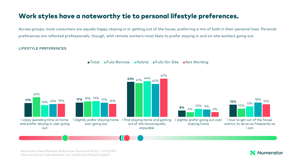## Work styles have a noteworthy tie to personal lifestyle preferences.

Across groups, most consumers are equally happy staying in or getting out of the house, preferring a mix of both in their personal lives. Personal preferences are reflected professionally, though, with remote workers most likely to prefer staying in and on-site workers going out.

#### LIFESTYLE PREFERENCES



■Total Fully Remote Hybrid Fully On-Site Not Working

Numerator New Realities & Routines Survey 4/14/22 ( n=10,010) How would you best describe your preferred lifestyle today?

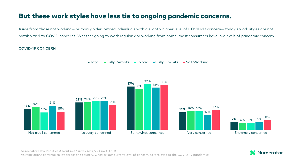## But these work styles have less tie to ongoing pandemic concerns.

Aside from those not working— primarily older, retired individuals with a slightly higher level of COVID-19 concern— today's work styles are not notably tied to COVID concerns. Whether going to work regularly or working from home, most consumers have low levels of pandemic concern.

#### COVID-19 CONCERN



■Total Fully Remote Hybrid Fully On-Site Not Working

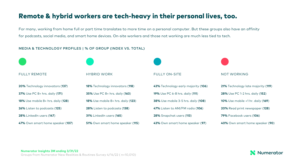## Remote & hybrid workers are tech-heavy in their personal lives, too.

For many, working from home full or part time translates to more time on a personal computer. But these groups also have an affinity for podcasts, social media, and smart home devices. On-site workers and those not working are much less tied to tech.

#### MEDIA & TECHNOLOGY PROFILES | % OF GROUP (INDEX VS. TOTAL)



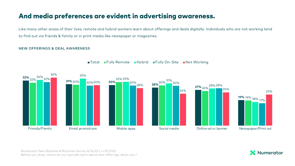## And media preferences are evident in advertising awareness.

Like many other areas of their lives, remote and hybrid workers learn about offerings and deals digitally. Individuals who are not working tend to find out via friends & family or in print media like newspaper or magazines.

#### NEW OFFERINGS & DEAL AWARENESS



■Total Fully Remote Hybrid Fully On-Site Not Working

Numerator New Realities & Routines Survey 4/14/22 ( n=10,010) Before you shop, where do you typically learn about new offerings, deals, etc.?

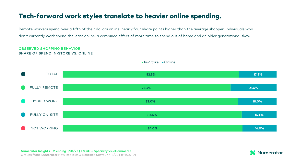## Tech-forward work styles translate to heavier online spending.

Remote workers spend over a fifth of their dollars online, nearly four share points higher than the average shopper. Individuals who don't currently work spend the least online, a combined effect of more time to spend out of home and an older generational skew.

#### OBSERVED SHOPPING BEHAVIOR SHARE OF SPEND IN-STORE VS. ONLINE



In-Store Online

**Numerator Insights 3M ending 3/31/22 | FMCG + Specialty vs. eCommerce** 

Groups from Numerator New Realities & Routines Survey 4/14/22 ( n=10,010)

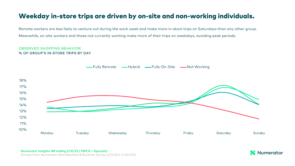## Weekday in-store trips are driven by on-site and non-working individuals.

Remote workers are less likely to venture out during the work week and make more in-store trips on Saturdays than any other group. Meanwhile, on-site workers and those not currently working make more of their trips on weekdays, avoiding peak periods.

#### OBSERVED SHOPPING BEHAVIOR % OF GROUP'S IN-STORE TRIPS BY DAY



#### **Numerator Insights 3M ending 3/31/22 | FMCG + Specialty**

Groups from Numerator New Realities & Routines Survey 4/14/22 ( n=10,010)

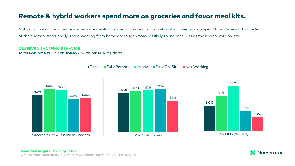## Remote & hybrid workers spend more on groceries and favor meal kits.

Naturally, more time at home means more meals at home, translating to a significantly higher grocery spend than those work outside of their homes. Additionally, those working from home are roughly twice as likely to use meal kits as those who work on-site.

#### OBSERVED SHOPPING BEHAVIOR AVERAGE MONTHLY SPENDING / % OF MEAL KIT USERS







■Total ■Fully Remote ■Hybrid ■Fully On-Site ■Not Working

#### **Numerator Insights 3M ending 3/31/22**  Groups from Numerator New Realities & Routines Survey 4/14/22 ( n=10,010)

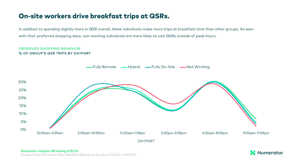## On-site workers drive breakfast trips at QSRs.

In addition to spending slightly more in QSR overall, these individuals make more trips at breakfast time than other groups. As seen with their preferred shopping days, non-working individuals are more likely to visit QSRs outside of peak hours.

#### OBSERVED SHOPPING BEHAVIOR % OF GROUP'S QSR TRIPS BY DAYPART



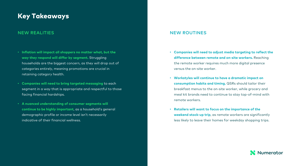## Key Takeaways

- **Inflation will impact all shoppers no matter what, but the way they respond will differ by segment.** Struggling households are the biggest concern, as they will drop out of categories entirely, meaning promotions are crucial in retaining category health.
- **Companies will need to bring targeted messaging** to each segment in a way that is appropriate and respectful to those facing financial hardships.
- **A nuanced understanding of consumer segments will continue to be highly important**, as a household's general demographic profile or income level isn't necessarily indicative of their financial wellness.

#### NEW REALITIES AND INTERNATIONAL CONTRACT CONTRACT OF THE REAL PROPERTY OF THE REAL PROPERTY OF THE REAL PROPERTY OF THE REAL PROPERTY OF THE REAL PROPERTY OF THE REAL PROPERTY OF THE REAL PROPERTY OF THE REAL PROPERTY OF T

- **Companies will need to adjust media targeting to reflect the difference between remote and on-site workers.** Reaching the remote worker requires much more digital presence versus the on-site worker.
- **Workstyles will continue to have a dramatic impact on consumption habits and timing.** QSRs should tailor their breakfast menus to the on-site worker, while grocery and meal kit brands need to continue to stay top-of-mind with remote workers.
- **Retailers will want to focus on the importance of the weekend stock-up trip**, as remote workers are significantly less likely to leave their homes for weekday shopping trips.